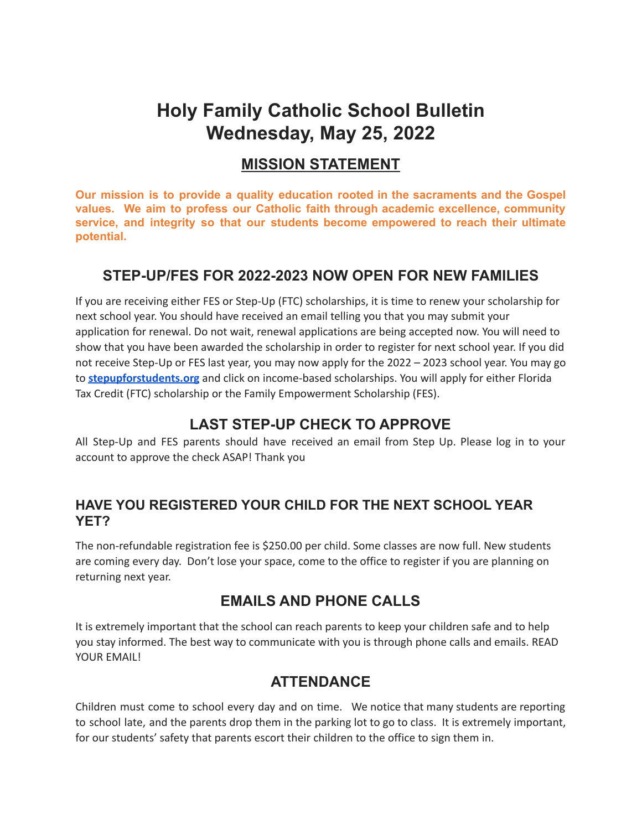# **Holy Family Catholic School Bulletin Wednesday, May 25, 2022**

#### **MISSION STATEMENT**

**Our mission is to provide a quality education rooted in the sacraments and the Gospel values. We aim to profess our Catholic faith through academic excellence, community service, and integrity so that our students become empowered to reach their ultimate potential.**

#### **STEP-UP/FES FOR 2022-2023 NOW OPEN FOR NEW FAMILIES**

If you are receiving either FES or Step-Up (FTC) scholarships, it is time to renew your scholarship for next school year. You should have received an email telling you that you may submit your application for renewal. Do not wait, renewal applications are being accepted now. You will need to show that you have been awarded the scholarship in order to register for next school year. If you did not receive Step-Up or FES last year, you may now apply for the 2022 – 2023 school year. You may go to **[stepupforstudents.org](http://stepupforstudents.org/)** and click on income-based scholarships. You will apply for either Florida Tax Credit (FTC) scholarship or the Family Empowerment Scholarship (FES).

#### **LAST STEP-UP CHECK TO APPROVE**

All Step-Up and FES parents should have received an email from Step Up. Please log in to your account to approve the check ASAP! Thank you

#### **HAVE YOU REGISTERED YOUR CHILD FOR THE NEXT SCHOOL YEAR YET?**

The non-refundable registration fee is \$250.00 per child. Some classes are now full. New students are coming every day. Don't lose your space, come to the office to register if you are planning on returning next year.

#### **EMAILS AND PHONE CALLS**

It is extremely important that the school can reach parents to keep your children safe and to help you stay informed. The best way to communicate with you is through phone calls and emails. READ YOUR EMAIL!

#### **ATTENDANCE**

Children must come to school every day and on time. We notice that many students are reporting to school late, and the parents drop them in the parking lot to go to class. It is extremely important, for our students' safety that parents escort their children to the office to sign them in.